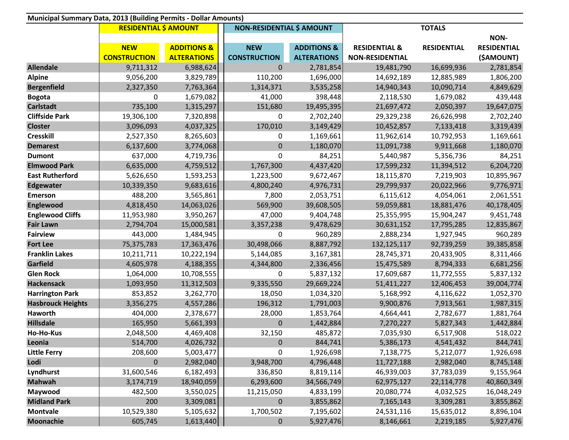| Municipal Summary Data, 2013 (Building Permits - Dollar Amounts) |                              |                        |                                  |                        |                          |                    |                    |  |  |  |  |
|------------------------------------------------------------------|------------------------------|------------------------|----------------------------------|------------------------|--------------------------|--------------------|--------------------|--|--|--|--|
|                                                                  | <b>RESIDENTIAL \$ AMOUNT</b> |                        | <b>NON-RESIDENTIAL \$ AMOUNT</b> |                        | <b>TOTALS</b>            |                    |                    |  |  |  |  |
|                                                                  |                              |                        |                                  |                        |                          |                    | NON-               |  |  |  |  |
|                                                                  | <b>NEW</b>                   | <b>ADDITIONS &amp;</b> | <b>NEW</b>                       | <b>ADDITIONS &amp;</b> | <b>RESIDENTIAL &amp;</b> | <b>RESIDENTIAL</b> | <b>RESIDENTIAL</b> |  |  |  |  |
|                                                                  | <b>CONSTRUCTION</b>          | <b>ALTERATIONS</b>     | <b>CONSTRUCTION</b>              | <b>ALTERATIONS</b>     | <b>NON-RESIDENTIAL</b>   |                    | (\$AMOUNT)         |  |  |  |  |
| <b>Allendale</b>                                                 | 9,711,312                    | 6,988,624              | $\pmb{0}$                        | 2,781,854              | 19,481,790               | 16,699,936         | 2,781,854          |  |  |  |  |
| <b>Alpine</b>                                                    | 9,056,200                    | 3,829,789              | 110,200                          | 1,696,000              | 14,692,189               | 12,885,989         | 1,806,200          |  |  |  |  |
| <b>Bergenfield</b>                                               | 2,327,350                    | 7,763,364              | 1,314,371                        | 3,535,258              | 14,940,343               | 10,090,714         | 4,849,629          |  |  |  |  |
| <b>Bogota</b>                                                    | 0                            | 1,679,082              | 41,000                           | 398,448                | 2,118,530                | 1,679,082          | 439,448            |  |  |  |  |
| <b>Carlstadt</b>                                                 | 735,100                      | 1,315,297              | 151,680                          | 19,495,395             | 21,697,472               | 2,050,397          | 19,647,075         |  |  |  |  |
| <b>Cliffside Park</b>                                            | 19,306,100                   | 7,320,898              | 0                                | 2,702,240              | 29,329,238               | 26,626,998         | 2,702,240          |  |  |  |  |
| <b>Closter</b>                                                   | 3,096,093                    | 4,037,325              | 170,010                          | 3,149,429              | 10,452,857               | 7,133,418          | 3,319,439          |  |  |  |  |
| <b>Cresskill</b>                                                 | 2,527,350                    | 8,265,603              | 0                                | 1,169,661              | 11,962,614               | 10,792,953         | 1,169,661          |  |  |  |  |
| <b>Demarest</b>                                                  | 6,137,600                    | 3,774,068              | $\pmb{0}$                        | 1,180,070              | 11,091,738               | 9,911,668          | 1,180,070          |  |  |  |  |
| <b>Dumont</b>                                                    | 637,000                      | 4,719,736              | 0                                | 84,251                 | 5,440,987                | 5,356,736          | 84,251             |  |  |  |  |
| <b>Elmwood Park</b>                                              | 6,635,000                    | 4,759,512              | 1,767,300                        | 4,437,420              | 17,599,232               | 11,394,512         | 6,204,720          |  |  |  |  |
| <b>East Rutherford</b>                                           | 5,626,650                    | 1,593,253              | 1,223,500                        | 9,672,467              | 18,115,870               | 7,219,903          | 10,895,967         |  |  |  |  |
| <b>Edgewater</b>                                                 | 10,339,350                   | 9,683,616              | 4,800,240                        | 4,976,731              | 29,799,937               | 20,022,966         | 9,776,971          |  |  |  |  |
| <b>Emerson</b>                                                   | 488,200                      | 3,565,861              | 7,800                            | 2,053,751              | 6,115,612                | 4,054,061          | 2,061,551          |  |  |  |  |
| Englewood                                                        | 4,818,450                    | 14,063,026             | 569,900                          | 39,608,505             | 59,059,881               | 18,881,476         | 40,178,405         |  |  |  |  |
| <b>Englewood Cliffs</b>                                          | 11,953,980                   | 3,950,267              | 47,000                           | 9,404,748              | 25,355,995               | 15,904,247         | 9,451,748          |  |  |  |  |
| <b>Fair Lawn</b>                                                 | 2,794,704                    | 15,000,581             | 3,357,238                        | 9,478,629              | 30,631,152               | 17,795,285         | 12,835,867         |  |  |  |  |
| <b>Fairview</b>                                                  | 443,000                      | 1,484,945              | 0                                | 960,289                | 2,888,234                | 1,927,945          | 960,289            |  |  |  |  |
| <b>Fort Lee</b>                                                  | 75,375,783                   | 17,363,476             | 30,498,066                       | 8,887,792              | 132,125,117              | 92,739,259         | 39,385,858         |  |  |  |  |
| <b>Franklin Lakes</b>                                            | 10,211,711                   | 10,222,194             | 5,144,085                        | 3,167,381              | 28,745,371               | 20,433,905         | 8,311,466          |  |  |  |  |
| Garfield                                                         | 4,605,978                    | 4,188,355              | 4,344,800                        | 2,336,456              | 15,475,589               | 8,794,333          | 6,681,256          |  |  |  |  |
| <b>Glen Rock</b>                                                 | 1,064,000                    | 10,708,555             | 0                                | 5,837,132              | 17,609,687               | 11,772,555         | 5,837,132          |  |  |  |  |
| <b>Hackensack</b>                                                | 1,093,950                    | 11,312,503             | 9,335,550                        | 29,669,224             | 51,411,227               | 12,406,453         | 39,004,774         |  |  |  |  |
| <b>Harrington Park</b>                                           | 853,852                      | 3,262,770              | 18,050                           | 1,034,320              | 5,168,992                | 4,116,622          | 1,052,370          |  |  |  |  |
| <b>Hasbrouck Heights</b>                                         | 3,356,275                    | 4,557,286              | 196,312                          | 1,791,003              | 9,900,876                | 7,913,561          | 1,987,315          |  |  |  |  |
| Haworth                                                          | 404,000                      | 2,378,677              | 28,000                           | 1,853,764              | 4,664,441                | 2,782,677          | 1,881,764          |  |  |  |  |
| <b>Hillsdale</b>                                                 | 165,950                      | 5,661,393              | $\pmb{0}$                        | 1,442,884              | 7,270,227                | 5,827,343          | 1,442,884          |  |  |  |  |
| Ho-Ho-Kus                                                        | 2,048,500                    | 4,469,408              | 32,150                           | 485,872                | 7,035,930                | 6,517,908          | 518,022            |  |  |  |  |
| Leonia                                                           | 514,700                      | 4,026,732              | $\pmb{0}$                        | 844,741                | 5,386,173                | 4,541,432          | 844,741            |  |  |  |  |
| <b>Little Ferry</b>                                              | 208,600                      | 5,003,477              | $\pmb{0}$                        | 1,926,698              | 7,138,775                | 5,212,077          | 1,926,698          |  |  |  |  |
| Lodi                                                             | $\mathbf 0$                  | 2,982,040              | 3,948,700                        | 4,796,448              | 11,727,188               | 2,982,040          | 8,745,148          |  |  |  |  |
| Lyndhurst                                                        | 31,600,546                   | 6,182,493              | 336,850                          | 8,819,114              | 46,939,003               | 37,783,039         | 9,155,964          |  |  |  |  |
| <b>Mahwah</b>                                                    | 3,174,719                    | 18,940,059             | 6,293,600                        | 34,566,749             | 62,975,127               | 22,114,778         | 40,860,349         |  |  |  |  |
| Maywood                                                          | 482,500                      | 3,550,025              | 11,215,050                       | 4,833,199              | 20,080,774               | 4,032,525          | 16,048,249         |  |  |  |  |
| <b>Midland Park</b>                                              | 200                          | 3,309,081              | $\bf{0}$                         | 3,855,862              | 7,165,143                | 3,309,281          | 3,855,862          |  |  |  |  |
| <b>Montvale</b>                                                  | 10,529,380                   | 5,105,632              | 1,700,502                        | 7,195,602              | 24,531,116               | 15,635,012         | 8,896,104          |  |  |  |  |
| Moonachie                                                        | 605,745                      | 1,613,440              | $\pmb{0}$                        | 5,927,476              | 8,146,661                | 2,219,185          | 5,927,476          |  |  |  |  |